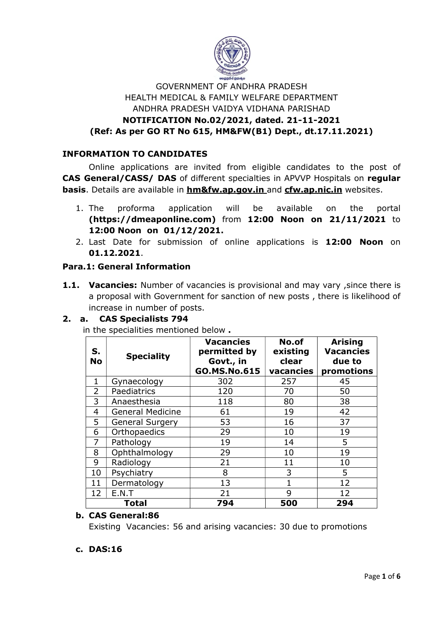

# GOVERNMENT OF ANDHRA PRADESH HEALTH MEDICAL & FAMILY WELFARE DEPARTMENT ANDHRA PRADESH VAIDYA VIDHANA PARISHAD NOTIFICATION No.02/2021, dated. 21-11-2021 (Ref: As per GO RT No 615, HM&FW(B1) Dept., dt.17.11.2021)

# INFORMATION TO CANDIDATES

Online applications are invited from eligible candidates to the post of CAS General/CASS/ DAS of different specialties in APVVP Hospitals on regular basis. Details are available in hm&fw.ap.gov.in and cfw.ap.nic.in websites.

- 1. The proforma application will be available on the portal (https://dmeaponline.com) from 12:00 Noon on 21/11/2021 to 12:00 Noon on 01/12/2021.
- 2. Last Date for submission of online applications is 12:00 Noon on 01.12.2021.

## Para.1: General Information

1.1. Vacancies: Number of vacancies is provisional and may vary, since there is a proposal with Government for sanction of new posts , there is likelihood of increase in number of posts.

## 2. a. CAS Specialists 794

in the specialities mentioned below .

| S.<br><b>No</b> | <b>Speciality</b>       | <b>Vacancies</b><br>permitted by<br>Govt., in<br>GO.MS.No.615 | No.of<br>existing<br>clear<br>vacancies | <b>Arising</b><br><b>Vacancies</b><br>due to<br>promotions |
|-----------------|-------------------------|---------------------------------------------------------------|-----------------------------------------|------------------------------------------------------------|
| 1               | Gynaecology             | 302                                                           | 257                                     | 45                                                         |
| $\overline{2}$  | Paediatrics             | 120                                                           | 70                                      | 50                                                         |
| 3               | Anaesthesia             | 118                                                           | 80                                      | 38                                                         |
| $\overline{4}$  | <b>General Medicine</b> | 61                                                            | 19                                      | 42                                                         |
| 5               | <b>General Surgery</b>  | 53                                                            | 16                                      | 37                                                         |
| 6               | Orthopaedics            | 29                                                            | 10                                      | 19                                                         |
| 7               | Pathology               | 19                                                            | 14                                      | 5                                                          |
| 8               | Ophthalmology           | 29                                                            | 10                                      | 19                                                         |
| 9               | Radiology               | 21                                                            | 11                                      | 10                                                         |
| 10              | Psychiatry              | 8                                                             | 3                                       | 5                                                          |
| 11              | Dermatology             | 13                                                            | $\mathbf 1$                             | 12                                                         |
| 12              | E.N.T                   | 21                                                            | 9                                       | 12                                                         |
| <b>Total</b>    |                         | 794                                                           | 500                                     | 294                                                        |

## b. CAS General:86

Existing Vacancies: 56 and arising vacancies: 30 due to promotions

### c. DAS:16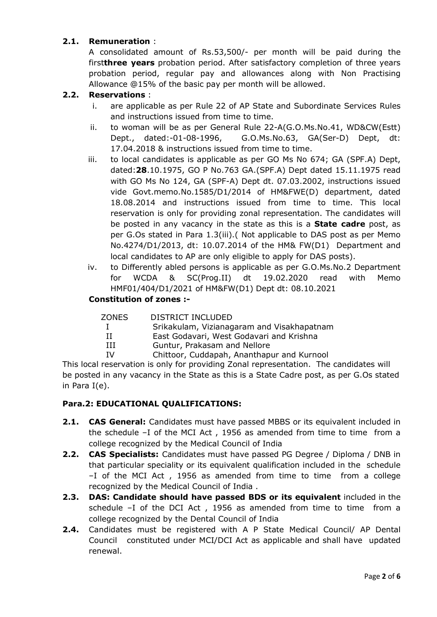## 2.1. Remuneration :

A consolidated amount of Rs.53,500/- per month will be paid during the firstthree years probation period. After satisfactory completion of three years probation period, regular pay and allowances along with Non Practising Allowance @15% of the basic pay per month will be allowed.

### 2.2. Reservations :

- i. are applicable as per Rule 22 of AP State and Subordinate Services Rules and instructions issued from time to time.
- ii. to woman will be as per General Rule 22-A(G.O.Ms.No.41, WD&CW(Estt) Dept., dated:-01-08-1996, G.O.Ms.No.63, GA(Ser-D) Dept, dt: 17.04.2018 & instructions issued from time to time.
- iii. to local candidates is applicable as per GO Ms No 674; GA (SPF.A) Dept, dated:28.10.1975, GO P No.763 GA.(SPF.A) Dept dated 15.11.1975 read with GO Ms No 124, GA (SPF-A) Dept dt. 07.03.2002, instructions issued vide Govt.memo.No.1585/D1/2014 of HM&FWE(D) department, dated 18.08.2014 and instructions issued from time to time. This local reservation is only for providing zonal representation. The candidates will be posted in any vacancy in the state as this is a **State cadre** post, as per G.Os stated in Para 1.3(iii).( Not applicable to DAS post as per Memo No.4274/D1/2013, dt: 10.07.2014 of the HM& FW(D1) Department and local candidates to AP are only eligible to apply for DAS posts).
- iv. to Differently abled persons is applicable as per G.O.Ms.No.2 Department for WCDA & SC(Prog.II) dt 19.02.2020 read with Memo HMF01/404/D1/2021 of HM&FW(D1) Dept dt: 08.10.2021

### Constitution of zones :-

| ZONES        | DISTRICT INCLUDED                          |
|--------------|--------------------------------------------|
| $\mathbf{I}$ | Srikakulam, Vizianagaram and Visakhapatnam |
| Н            | East Godavari, West Godavari and Krishna   |
| ш            | Guntur, Prakasam and Nellore               |
| τv           | Chittoor, Cuddapah, Ananthapur and Kurnool |

This local reservation is only for providing Zonal representation. The candidates will be posted in any vacancy in the State as this is a State Cadre post, as per G.Os stated in Para I(e).

### Para.2: EDUCATIONAL QUALIFICATIONS:

- **2.1. CAS General:** Candidates must have passed MBBS or its equivalent included in the schedule –I of the MCI Act , 1956 as amended from time to time from a college recognized by the Medical Council of India
- **2.2. CAS Specialists:** Candidates must have passed PG Degree / Diploma / DNB in that particular speciality or its equivalent qualification included in the schedule –I of the MCI Act , 1956 as amended from time to time from a college recognized by the Medical Council of India .
- 2.3. DAS: Candidate should have passed BDS or its equivalent included in the schedule –I of the DCI Act , 1956 as amended from time to time from a college recognized by the Dental Council of India
- 2.4. Candidates must be registered with A P State Medical Council/ AP Dental Council constituted under MCI/DCI Act as applicable and shall have updated renewal.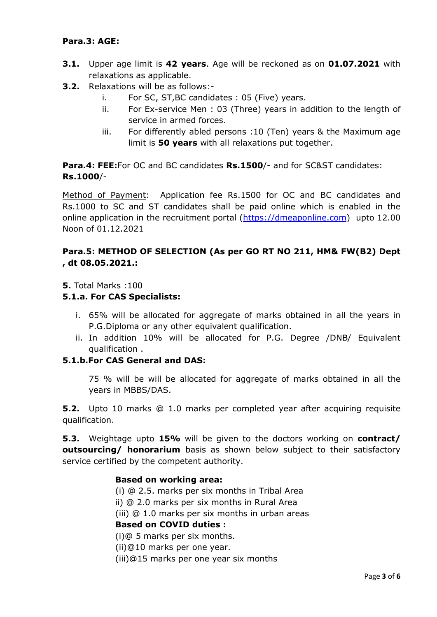## Para.3: AGE:

- **3.1.** Upper age limit is 42 years. Age will be reckoned as on 01.07.2021 with relaxations as applicable.
- 3.2. Relaxations will be as follows:
	- i. For SC, ST,BC candidates : 05 (Five) years.
	- ii. For Ex-service Men : 03 (Three) years in addition to the length of service in armed forces.
	- iii. For differently abled persons :10 (Ten) years & the Maximum age limit is 50 years with all relaxations put together.

Para.4: FEE: For OC and BC candidates Rs.1500/- and for SC&ST candidates: Rs.1000/-

Method of Payment: Application fee Rs.1500 for OC and BC candidates and Rs.1000 to SC and ST candidates shall be paid online which is enabled in the online application in the recruitment portal (https://dmeaponline.com) upto 12.00 Noon of 01.12.2021

# Para.5: METHOD OF SELECTION (As per GO RT NO 211, HM& FW(B2) Dept , dt 08.05.2021.:

5. Total Marks :100

## 5.1.a. For CAS Specialists:

- i. 65% will be allocated for aggregate of marks obtained in all the years in P.G.Diploma or any other equivalent qualification.
- ii. In addition 10% will be allocated for P.G. Degree /DNB/ Equivalent qualification .

## 5.1.b.For CAS General and DAS:

75 % will be will be allocated for aggregate of marks obtained in all the years in MBBS/DAS.

**5.2.** Upto 10 marks @ 1.0 marks per completed year after acquiring requisite qualification.

5.3. Weightage upto 15% will be given to the doctors working on contract/ outsourcing/ honorarium basis as shown below subject to their satisfactory service certified by the competent authority.

### Based on working area:

(i) @ 2.5. marks per six months in Tribal Area ii) @ 2.0 marks per six months in Rural Area

(iii) @ 1.0 marks per six months in urban areas

# Based on COVID duties :

(i)@ 5 marks per six months.

(ii)@10 marks per one year.

(iii)@15 marks per one year six months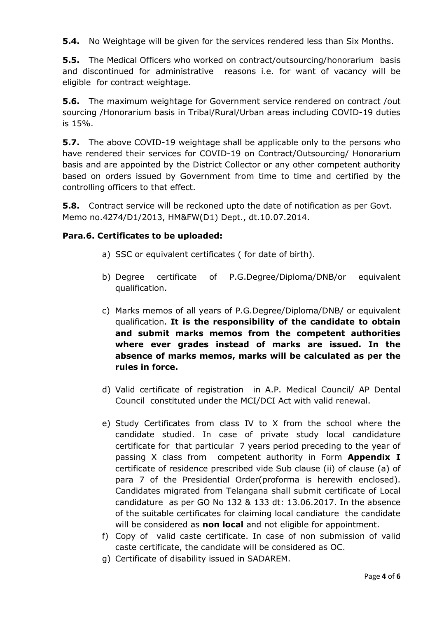**5.4.** No Weightage will be given for the services rendered less than Six Months.

**5.5.** The Medical Officers who worked on contract/outsourcing/honorarium basis and discontinued for administrative reasons i.e. for want of vacancy will be eligible for contract weightage.

**5.6.** The maximum weightage for Government service rendered on contract /out sourcing /Honorarium basis in Tribal/Rural/Urban areas including COVID-19 duties is 15%.

**5.7.** The above COVID-19 weightage shall be applicable only to the persons who have rendered their services for COVID-19 on Contract/Outsourcing/ Honorarium basis and are appointed by the District Collector or any other competent authority based on orders issued by Government from time to time and certified by the controlling officers to that effect.

**5.8.** Contract service will be reckoned upto the date of notification as per Govt. Memo no.4274/D1/2013, HM&FW(D1) Dept., dt.10.07.2014.

## Para.6. Certificates to be uploaded:

- a) SSC or equivalent certificates ( for date of birth).
- b) Degree certificate of P.G.Degree/Diploma/DNB/or equivalent qualification.
- c) Marks memos of all years of P.G.Degree/Diploma/DNB/ or equivalent qualification. It is the responsibility of the candidate to obtain and submit marks memos from the competent authorities where ever grades instead of marks are issued. In the absence of marks memos, marks will be calculated as per the rules in force.
- d) Valid certificate of registration in A.P. Medical Council/ AP Dental Council constituted under the MCI/DCI Act with valid renewal.
- e) Study Certificates from class IV to X from the school where the candidate studied. In case of private study local candidature certificate for that particular 7 years period preceding to the year of passing X class from competent authority in Form **Appendix I** certificate of residence prescribed vide Sub clause (ii) of clause (a) of para 7 of the Presidential Order(proforma is herewith enclosed). Candidates migrated from Telangana shall submit certificate of Local candidature as per GO No 132 & 133 dt: 13.06.2017. In the absence of the suitable certificates for claiming local candiature the candidate will be considered as **non local** and not eligible for appointment.
- f) Copy of valid caste certificate. In case of non submission of valid caste certificate, the candidate will be considered as OC.
- g) Certificate of disability issued in SADAREM.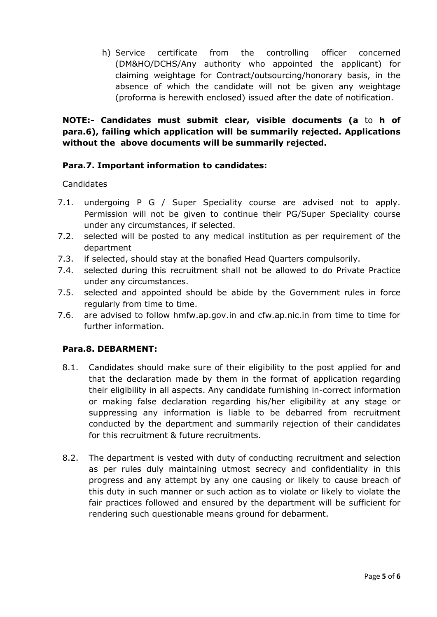h) Service certificate from the controlling officer concerned (DM&HO/DCHS/Any authority who appointed the applicant) for claiming weightage for Contract/outsourcing/honorary basis, in the absence of which the candidate will not be given any weightage (proforma is herewith enclosed) issued after the date of notification.

# NOTE:- Candidates must submit clear, visible documents (a to h of para.6), failing which application will be summarily rejected. Applications without the above documents will be summarily rejected.

## Para.7. Important information to candidates:

## **Candidates**

- 7.1. undergoing P G / Super Speciality course are advised not to apply. Permission will not be given to continue their PG/Super Speciality course under any circumstances, if selected.
- 7.2. selected will be posted to any medical institution as per requirement of the department
- 7.3. if selected, should stay at the bonafied Head Quarters compulsorily.
- 7.4. selected during this recruitment shall not be allowed to do Private Practice under any circumstances.
- 7.5. selected and appointed should be abide by the Government rules in force regularly from time to time.
- 7.6. are advised to follow hmfw.ap.gov.in and cfw.ap.nic.in from time to time for further information.

## Para.8. DEBARMENT:

- 8.1. Candidates should make sure of their eligibility to the post applied for and that the declaration made by them in the format of application regarding their eligibility in all aspects. Any candidate furnishing in-correct information or making false declaration regarding his/her eligibility at any stage or suppressing any information is liable to be debarred from recruitment conducted by the department and summarily rejection of their candidates for this recruitment & future recruitments.
- 8.2. The department is vested with duty of conducting recruitment and selection as per rules duly maintaining utmost secrecy and confidentiality in this progress and any attempt by any one causing or likely to cause breach of this duty in such manner or such action as to violate or likely to violate the fair practices followed and ensured by the department will be sufficient for rendering such questionable means ground for debarment.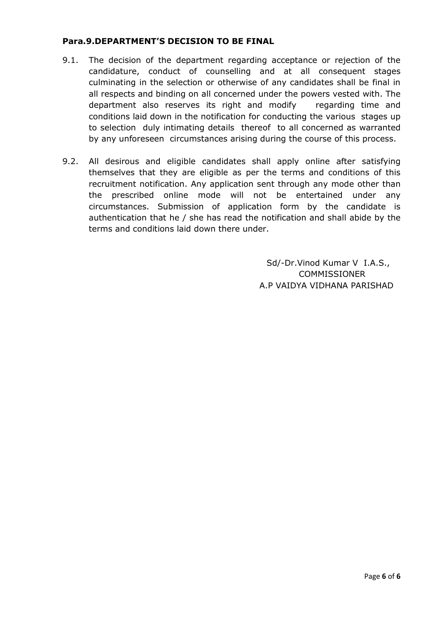### Para.9.DEPARTMENT'S DECISION TO BE FINAL

- 9.1. The decision of the department regarding acceptance or rejection of the candidature, conduct of counselling and at all consequent stages culminating in the selection or otherwise of any candidates shall be final in all respects and binding on all concerned under the powers vested with. The department also reserves its right and modify regarding time and conditions laid down in the notification for conducting the various stages up to selection duly intimating details thereof to all concerned as warranted by any unforeseen circumstances arising during the course of this process.
- 9.2. All desirous and eligible candidates shall apply online after satisfying themselves that they are eligible as per the terms and conditions of this recruitment notification. Any application sent through any mode other than the prescribed online mode will not be entertained under any circumstances. Submission of application form by the candidate is authentication that he / she has read the notification and shall abide by the terms and conditions laid down there under.

 Sd/-Dr.Vinod Kumar V I.A.S., **COMMISSIONER** A.P VAIDYA VIDHANA PARISHAD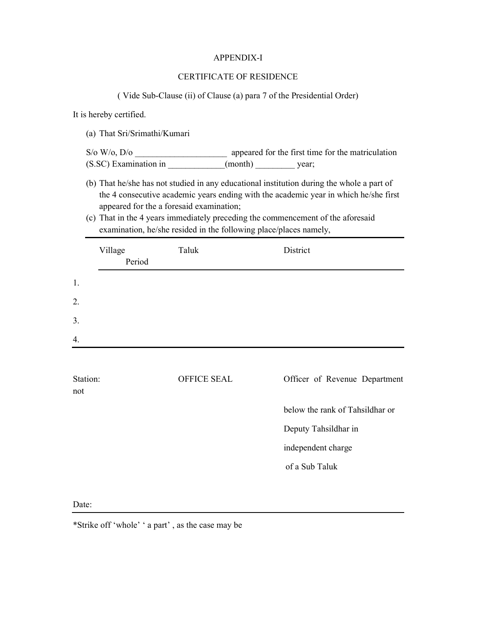#### APPENDIX-I

#### CERTIFICATE OF RESIDENCE

( Vide Sub-Clause (ii) of Clause (a) para 7 of the Presidential Order)

It is hereby certified.

(a) That Sri/Srimathi/Kumari

S/o W/o, D/o \_\_\_\_\_\_\_\_\_\_\_\_\_\_\_\_\_\_\_\_\_ appeared for the first time for the matriculation (S.SC) Examination in  $(month)$  year;

- (b) That he/she has not studied in any educational institution during the whole a part of the 4 consecutive academic years ending with the academic year in which he/she first appeared for the a foresaid examination;
- (c) That in the 4 years immediately preceding the commencement of the aforesaid examination, he/she resided in the following place/places namely,

| Village<br>Period | Taluk       | District                        |
|-------------------|-------------|---------------------------------|
| 1.                |             |                                 |
| 2.                |             |                                 |
| 3.                |             |                                 |
| 4.                |             |                                 |
| Station:<br>not   | OFFICE SEAL | Officer of Revenue Department   |
|                   |             | below the rank of Tahsildhar or |
|                   |             | Deputy Tahsildhar in            |
|                   |             | independent charge              |
|                   |             | of a Sub Taluk                  |
|                   |             |                                 |

#### Date:

\*Strike off 'whole' ' a part' , as the case may be